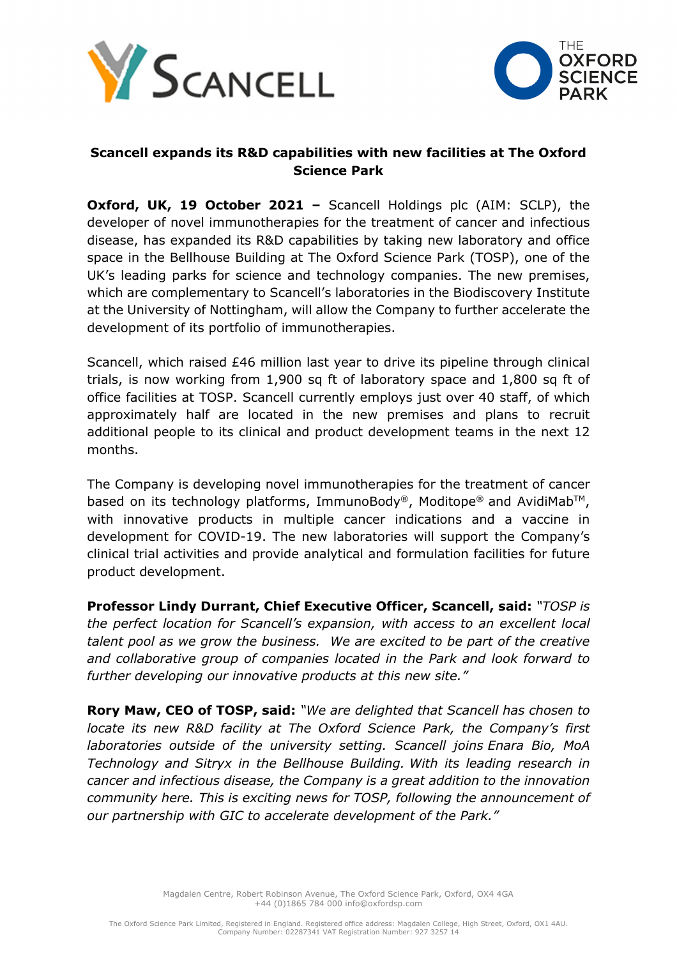



# **Scancell expands its R&D capabilities with new facilities at The Oxford Science Park**

**Oxford, UK, 19 October 2021 - Scancell Holdings plc (AIM: SCLP), the** developer of novel immunotherapies for the treatment of cancer and infectious disease, has expanded its R&D capabilities by taking new laboratory and office space in the Bellhouse Building at The Oxford Science Park (TOSP), one of the UK's leading parks for science and technology companies. The new premises, which are complementary to Scancell's laboratories in the Biodiscovery Institute at the University of Nottingham, will allow the Company to further accelerate the development of its portfolio of immunotherapies.

Scancell, which raised £46 million last year to drive its pipeline through clinical trials, is now working from 1,900 sq ft of laboratory space and 1,800 sq ft of office facilities at TOSP. Scancell currently employs just over 40 staff, of which approximately half are located in the new premises and plans to recruit additional people to its clinical and product development teams in the next 12 months.

The Company is developing novel immunotherapies for the treatment of cancer based on its technology platforms, ImmunoBody®, Moditope® and AvidiMab™, with innovative products in multiple cancer indications and a vaccine in development for COVID-19. The new laboratories will support the Company's clinical trial activities and provide analytical and formulation facilities for future product development.

**Professor Lindy Durrant, Chief Executive Officer, Scancell, said:** *"TOSP is the perfect location for Scancell's expansion, with access to an excellent local talent pool as we grow the business. We are excited to be part of the creative and collaborative group of companies located in the Park and look forward to further developing our innovative products at this new site."*

**Rory Maw, CEO of TOSP, said:** *"We are delighted that Scancell has chosen to locate its new R&D facility at The Oxford Science Park, the Company's first laboratories outside of the university setting. Scancell joins Enara Bio, MoA Technology and Sitryx in the Bellhouse Building. With its leading research in cancer and infectious disease, the Company is a great addition to the innovation community here. This is exciting news for TOSP, following the announcement of our partnership with GIC to accelerate development of the Park."*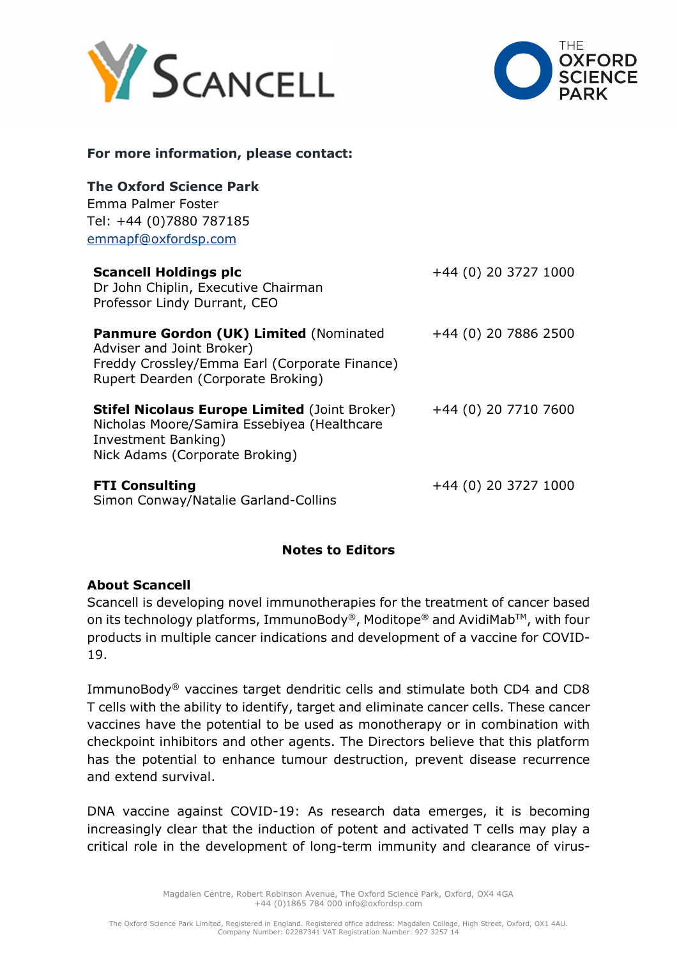



### **For more information, please contact:**

| <b>The Oxford Science Park</b><br>Emma Palmer Foster<br>Tel: +44 (0)7880 787185<br>emmapf@oxfordsp.com                                                            |                        |
|-------------------------------------------------------------------------------------------------------------------------------------------------------------------|------------------------|
| <b>Scancell Holdings plc</b><br>Dr John Chiplin, Executive Chairman<br>Professor Lindy Durrant, CEO                                                               | $+44$ (0) 20 3727 1000 |
| <b>Panmure Gordon (UK) Limited (Nominated</b><br>Adviser and Joint Broker)<br>Freddy Crossley/Emma Earl (Corporate Finance)<br>Rupert Dearden (Corporate Broking) | +44 (0) 20 7886 2500   |
| <b>Stifel Nicolaus Europe Limited (Joint Broker)</b><br>Nicholas Moore/Samira Essebiyea (Healthcare<br>Investment Banking)<br>Nick Adams (Corporate Broking)      | +44 (0) 20 7710 7600   |
| <b>FTI Consulting</b><br>Simon Conway/Natalie Garland-Collins                                                                                                     | +44 (0) 20 3727 1000   |

## **Notes to Editors**

### **About Scancell**

Scancell is developing novel immunotherapies for the treatment of cancer based on its technology platforms, ImmunoBody®, Moditope® and AvidiMab™, with four products in multiple cancer indications and development of a vaccine for COVID-19.

ImmunoBody® vaccines target dendritic cells and stimulate both CD4 and CD8 T cells with the ability to identify, target and eliminate cancer cells. These cancer vaccines have the potential to be used as monotherapy or in combination with checkpoint inhibitors and other agents. The Directors believe that this platform has the potential to enhance tumour destruction, prevent disease recurrence and extend survival.

DNA vaccine against COVID-19: As research data emerges, it is becoming increasingly clear that the induction of potent and activated T cells may play a critical role in the development of long-term immunity and clearance of virus-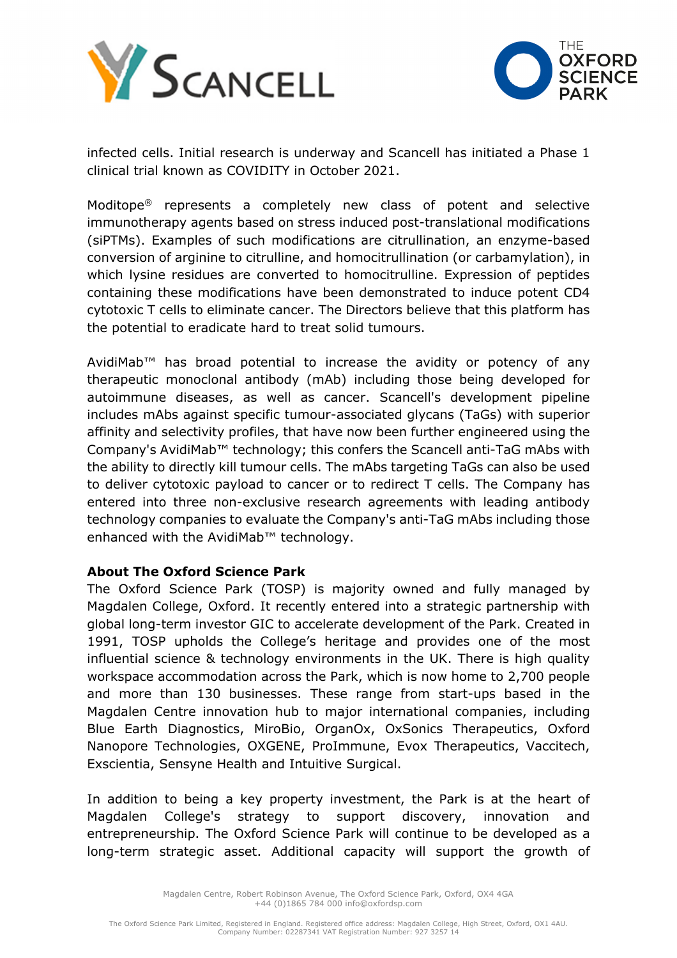



infected cells. Initial research is underway and Scancell has initiated a Phase 1 clinical trial known as COVIDITY in October 2021.

Moditope® represents a completely new class of potent and selective immunotherapy agents based on stress induced post-translational modifications (siPTMs). Examples of such modifications are citrullination, an enzyme-based conversion of arginine to citrulline, and homocitrullination (or carbamylation), in which lysine residues are converted to homocitrulline. Expression of peptides containing these modifications have been demonstrated to induce potent CD4 cytotoxic T cells to eliminate cancer. The Directors believe that this platform has the potential to eradicate hard to treat solid tumours.

AvidiMab™ has broad potential to increase the avidity or potency of any therapeutic monoclonal antibody (mAb) including those being developed for autoimmune diseases, as well as cancer. Scancell's development pipeline includes mAbs against specific tumour-associated glycans (TaGs) with superior affinity and selectivity profiles, that have now been further engineered using the Company's AvidiMab™ technology; this confers the Scancell anti-TaG mAbs with the ability to directly kill tumour cells. The mAbs targeting TaGs can also be used to deliver cytotoxic payload to cancer or to redirect T cells. The Company has entered into three non-exclusive research agreements with leading antibody technology companies to evaluate the Company's anti-TaG mAbs including those enhanced with the AvidiMab™ technology.

## **About The Oxford Science Park**

The Oxford Science Park (TOSP) is majority owned and fully managed by Magdalen College, Oxford. It recently entered into a strategic partnership with global long-term investor GIC to accelerate development of the Park. Created in 1991, TOSP upholds the College's heritage and provides one of the most influential science & technology environments in the UK. There is high quality workspace accommodation across the Park, which is now home to 2,700 people and more than 130 businesses. These range from start-ups based in the Magdalen Centre innovation hub to major international companies, including Blue Earth Diagnostics, MiroBio, OrganOx, OxSonics Therapeutics, Oxford Nanopore Technologies, OXGENE, ProImmune, Evox Therapeutics, Vaccitech, Exscientia, Sensyne Health and Intuitive Surgical.

In addition to being a key property investment, the Park is at the heart of Magdalen College's strategy to support discovery, innovation and entrepreneurship. The Oxford Science Park will continue to be developed as a long-term strategic asset. Additional capacity will support the growth of